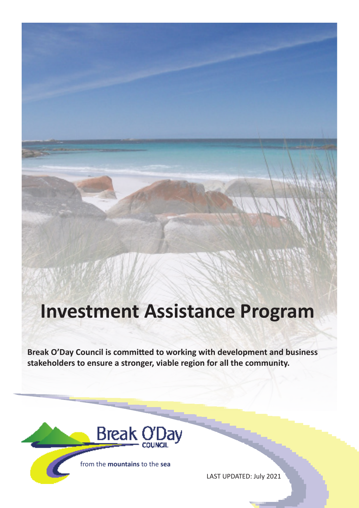# **Investment Assistance Program**

**Break O'Day Council is committed to working with development and business stakeholders to ensure a stronger, viable region for all the community.**



LAST UPDATED: July 2021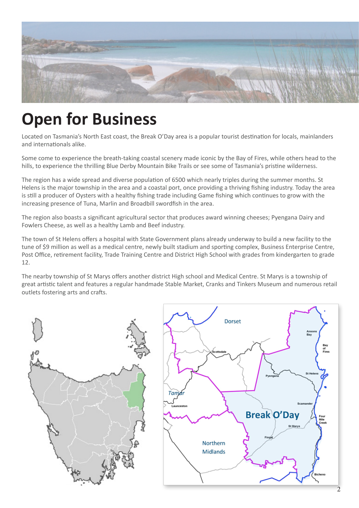

# **Open for Business**

Located on Tasmania's North East coast, the Break O'Day area is a popular tourist destination for locals, mainlanders and internationals alike.

Some come to experience the breath-taking coastal scenery made iconic by the Bay of Fires, while others head to the hills, to experience the thrilling Blue Derby Mountain Bike Trails or see some of Tasmania's pristine wilderness.

The region has a wide spread and diverse population of 6500 which nearly triples during the summer months. St Helens is the major township in the area and a coastal port, once providing a thriving fishing industry. Today the area is still a producer of Oysters with a healthy fishing trade including Game fishing which continues to grow with the increasing presence of Tuna, Marlin and Broadbill swordfish in the area.

The region also boasts a significant agricultural sector that produces award winning cheeses; Pyengana Dairy and Fowlers Cheese, as well as a healthy Lamb and Beef industry.

The town of St Helens offers a hospital with State Government plans already underway to build a new facility to the tune of \$9 million as well as a medical centre, newly built stadium and sporting complex, Business Enterprise Centre, Post Office, retirement facility, Trade Training Centre and District High School with grades from kindergarten to grade 12.

The nearby township of St Marys offers another district High school and Medical Centre. St Marys is a township of great artistic talent and features a regular handmade Stable Market, Cranks and Tinkers Museum and numerous retail outlets fostering arts and crafts.

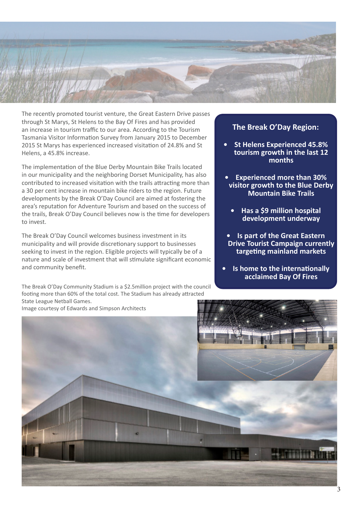

The recently promoted tourist venture, the Great Eastern Drive passes through St Marys, St Helens to the Bay Of Fires and has provided an increase in tourism traffic to our area. According to the Tourism Tasmania Visitor Information Survey from January 2015 to December 2015 St Marys has experienced increased visitation of 24.8% and St Helens, a 45.8% increase.

The implementation of the Blue Derby Mountain Bike Trails located in our municipality and the neighboring Dorset Municipality, has also contributed to increased visitation with the trails attracting more than a 30 per cent increase in mountain bike riders to the region. Future developments by the Break O'Day Council are aimed at fostering the area's reputation for Adventure Tourism and based on the success of the trails, Break O'Day Council believes now is the time for developers to invest.

The Break O'Day Council welcomes business investment in its municipality and will provide discretionary support to businesses seeking to invest in the region. Eligible projects will typically be of a nature and scale of investment that will stimulate significant economic and community benefit.

The Break O'Day Community Stadium is a \$2.5million project with the council footing more than 60% of the total cost. The Stadium has already attracted State League Netball Games.

**The Break O'Day Region:**

- **• St Helens Experienced 45.8% tourism growth in the last 12 months**
- **• Experienced more than 30% visitor growth to the Blue Derby Mountain Bike Trails**
	- **• Has a \$9 million hospital development underway**
- **• Is part of the Great Eastern Drive Tourist Campaign currently targeting mainland markets**

**• Is home to the internationally acclaimed Bay Of Fires** 

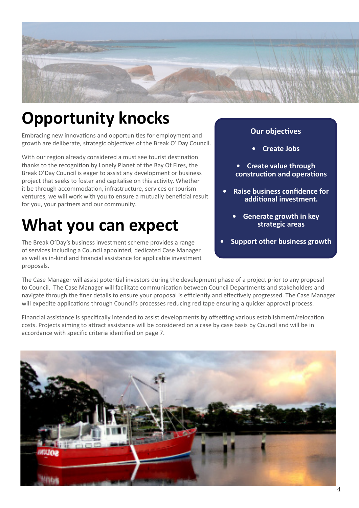

# **Opportunity knocks**

Embracing new innovations and opportunities for employment and growth are deliberate, strategic objectives of the Break O' Day Council.

With our region already considered a must see tourist destination thanks to the recognition by Lonely Planet of the Bay Of Fires, the Break O'Day Council is eager to assist any development or business project that seeks to foster and capitalise on this activity. Whether it be through accommodation, infrastructure, services or tourism ventures, we will work with you to ensure a mutually beneficial result for you, your partners and our community.

# **What you can expect**

The Break O'Day's business investment scheme provides a range of services including a Council appointed, dedicated Case Manager as well as in-kind and financial assistance for applicable investment proposals.

### **Our objectives**

- **• Create Jobs**
- **• Create value through construction and operations**
- **• Raise business confidence for additional investment.**
	- **• Generate growth in key strategic areas**
- **• Support other business growth**

The Case Manager will assist potential investors during the development phase of a project prior to any proposal to Council. The Case Manager will facilitate communication between Council Departments and stakeholders and navigate through the finer details to ensure your proposal is efficiently and effectively progressed. The Case Manager will expedite applications through Council's processes reducing red tape ensuring a quicker approval process.

Financial assistance is specifically intended to assist developments by offsetting various establishment/relocation costs. Projects aiming to attract assistance will be considered on a case by case basis by Council and will be in accordance with specific criteria identified on page 7.

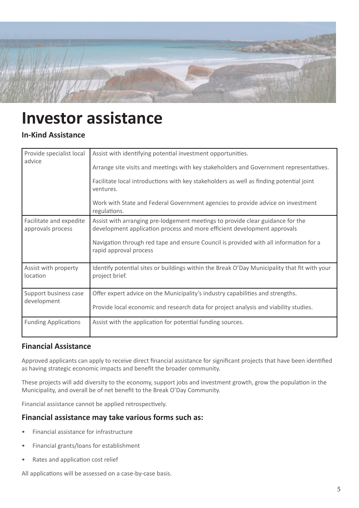

## **Investor assistance**

### **In-Kind Assistance**

| Provide specialist local<br>advice           | Assist with identifying potential investment opportunities.<br>Arrange site visits and meetings with key stakeholders and Government representatives.<br>Facilitate local introductions with key stakeholders as well as finding potential joint                              |
|----------------------------------------------|-------------------------------------------------------------------------------------------------------------------------------------------------------------------------------------------------------------------------------------------------------------------------------|
|                                              | ventures.<br>Work with State and Federal Government agencies to provide advice on investment<br>regulations.                                                                                                                                                                  |
| Facilitate and expedite<br>approvals process | Assist with arranging pre-lodgement meetings to provide clear guidance for the<br>development application process and more efficient development approvals<br>Navigation through red tape and ensure Council is provided with all information for a<br>rapid approval process |
| Assist with property<br>location             | Identify potential sites or buildings within the Break O'Day Municipality that fit with your<br>project brief.                                                                                                                                                                |
| Support business case<br>development         | Offer expert advice on the Municipality's industry capabilities and strengths.<br>Provide local economic and research data for project analysis and viability studies.                                                                                                        |
| <b>Funding Applications</b>                  | Assist with the application for potential funding sources.                                                                                                                                                                                                                    |

### **Financial Assistance**

Approved applicants can apply to receive direct financial assistance for significant projects that have been identified as having strategic economic impacts and benefit the broader community.

These projects will add diversity to the economy, support jobs and investment growth, grow the population in the Municipality, and overall be of net benefit to the Break O'Day Community.

Financial assistance cannot be applied retrospectively.

### **Financial assistance may take various forms such as:**

- Financial assistance for infrastructure
- Financial grants/loans for establishment
- Rates and application cost relief

All applications will be assessed on a case-by-case basis.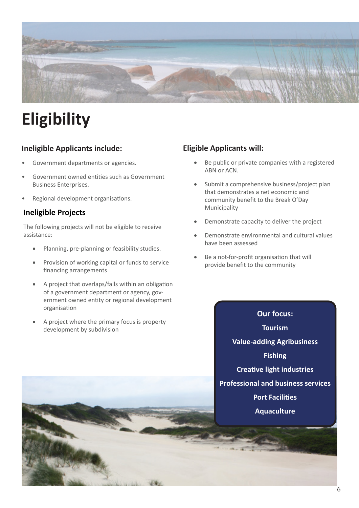

# **Eligibility**

### **Ineligible Applicants include:**

- Government departments or agencies.
- Government owned entities such as Government Business Enterprises.
- Regional development organisations.

### **Ineligible Projects**

The following projects will not be eligible to receive assistance:

- Planning, pre-planning or feasibility studies.
- Provision of working capital or funds to service financing arrangements
- A project that overlaps/falls within an obligation of a government department or agency, government owned entity or regional development organisation
- A project where the primary focus is property development by subdivision

### **Eligible Applicants will:**

- Be public or private companies with a registered ABN or ACN.
- Submit a comprehensive business/project plan that demonstrates a net economic and community benefit to the Break O'Day Municipality
- Demonstrate capacity to deliver the project
- Demonstrate environmental and cultural values have been assessed
- Be a not-for-profit organisation that will provide benefit to the community

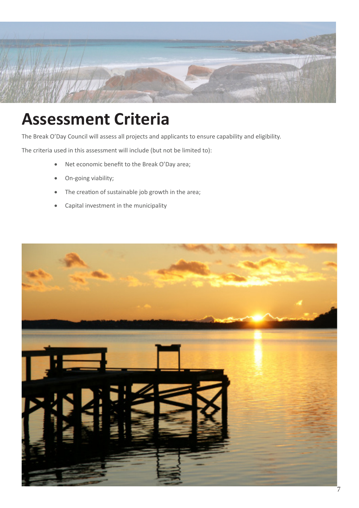

## **Assessment Criteria**

The Break O'Day Council will assess all projects and applicants to ensure capability and eligibility.

The criteria used in this assessment will include (but not be limited to):

- Net economic benefit to the Break O'Day area;
- On-going viability;
- The creation of sustainable job growth in the area;
- • Capital investment in the municipality

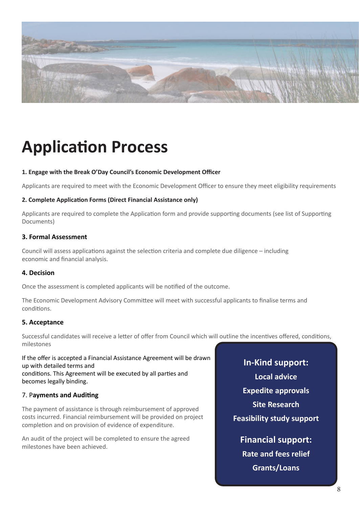

# **Application Process**

#### **1. Engage with the Break O'Day Council's Economic Development Officer**

Applicants are required to meet with the Economic Development Officer to ensure they meet eligibility requirements

#### **2. Complete Application Forms (Direct Financial Assistance only)**

Applicants are required to complete the Application form and provide supporting documents (see list of Supporting Documents)

#### **3. Formal Assessment**

Council will assess applications against the selection criteria and complete due diligence – including economic and financial analysis.

#### **4. Decision**

Once the assessment is completed applicants will be notified of the outcome.

The Economic Development Advisory Committee will meet with successful applicants to finalise terms and conditions.

#### **5. Acceptance**

Successful candidates will receive a letter of offer from Council which will outline the incentives offered, conditions, milestones

If the offer is accepted a Financial Assistance Agreement will be drawn up with detailed terms and conditions. This Agreement will be executed by all parties and becomes legally binding.

#### 7. P**ayments and Auditing**

The payment of assistance is through reimbursement of approved costs incurred. Financial reimbursement will be provided on project completion and on provision of evidence of expenditure.

An audit of the project will be completed to ensure the agreed milestones have been achieved.

**In-Kind support: Local advice Expedite approvals Site Research Feasibility study support**

**Financial support: Rate and fees relief Grants/Loans**